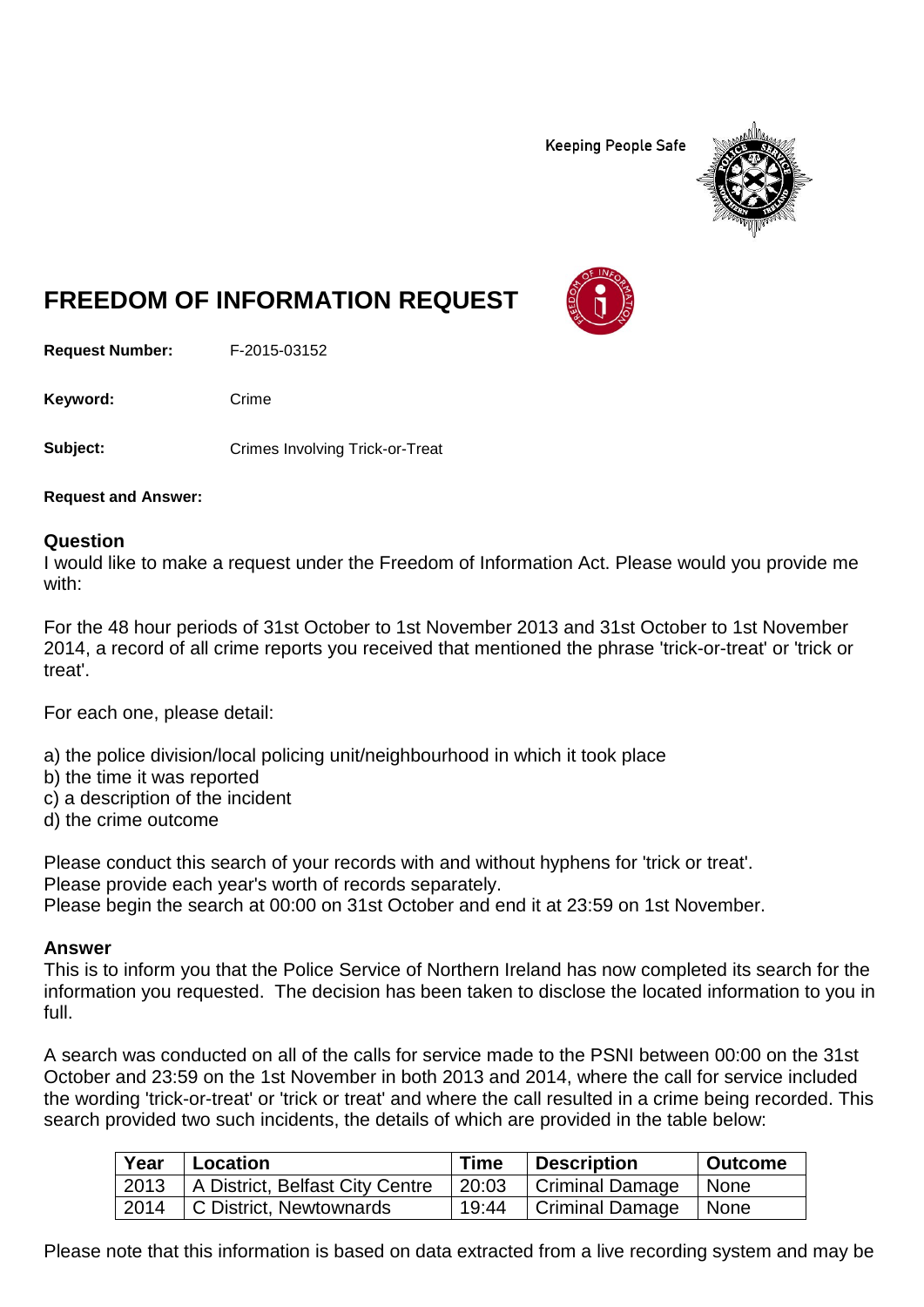**Keeping People Safe** 



## **FREEDOM OF INFORMATION REQUEST**

**Request Number:** F-2015-03152

Keyword: Crime

**Subject:** Crimes Involving Trick-or-Treat

**Request and Answer:**

## **Question**

I would like to make a request under the Freedom of Information Act. Please would you provide me with:

For the 48 hour periods of 31st October to 1st November 2013 and 31st October to 1st November 2014, a record of all crime reports you received that mentioned the phrase 'trick-or-treat' or 'trick or treat'.

For each one, please detail:

a) the police division/local policing unit/neighbourhood in which it took place

- b) the time it was reported
- c) a description of the incident
- d) the crime outcome

Please conduct this search of your records with and without hyphens for 'trick or treat'. Please provide each year's worth of records separately. Please begin the search at 00:00 on 31st October and end it at 23:59 on 1st November.

## **Answer**

This is to inform you that the Police Service of Northern Ireland has now completed its search for the information you requested. The decision has been taken to disclose the located information to you in full.

A search was conducted on all of the calls for service made to the PSNI between 00:00 on the 31st October and 23:59 on the 1st November in both 2013 and 2014, where the call for service included the wording 'trick-or-treat' or 'trick or treat' and where the call resulted in a crime being recorded. This search provided two such incidents, the details of which are provided in the table below:

| Year | Location                               | <b>Time</b> | Description                  | <b>Outcome</b> |
|------|----------------------------------------|-------------|------------------------------|----------------|
|      | 2013   A District, Belfast City Centre |             | 20:03 Criminal Damage   None |                |
|      | 2014 C District, Newtownards           | 19:44       | Criminal Damage   None       |                |

Please note that this information is based on data extracted from a live recording system and may be